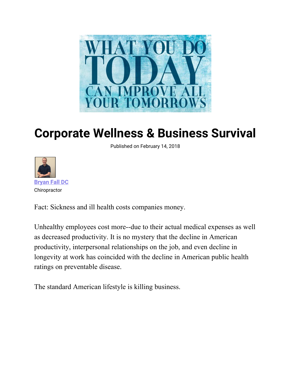

## **Corporate Wellness & Business Survival**

Published on February 14, 2018



Fact: Sickness and ill health costs companies money.

Unhealthy employees cost more--due to their actual medical expenses as well as decreased productivity. It is no mystery that the decline in American productivity, interpersonal relationships on the job, and even decline in longevity at work has coincided with the decline in American public health ratings on preventable disease.

The standard American lifestyle is killing business.